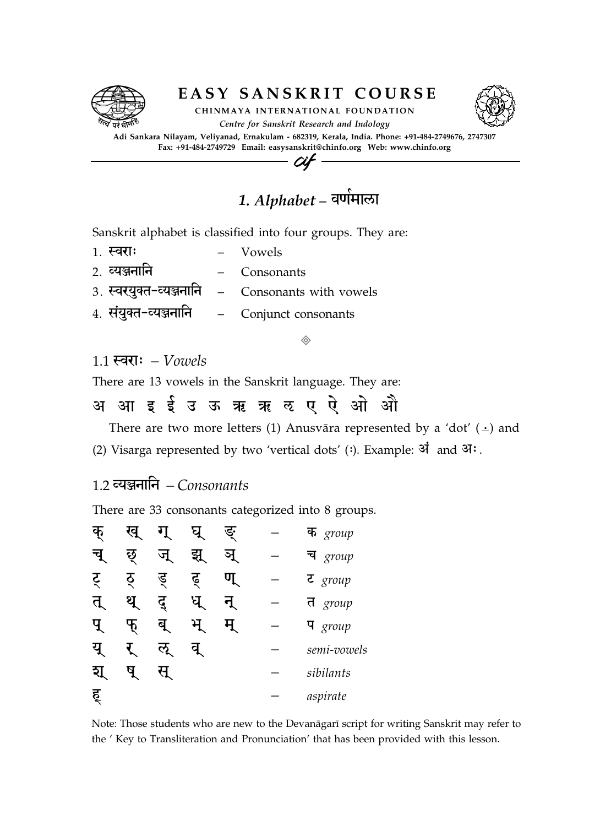

### EASY SANSKRIT COURSE



CHINMAYA INTERNATIONAL FOUNDATION Centre for Sanskrit Research and Indology

Adi Sankara Nilayam, Veliyanad, Ernakulam - 682319, Kerala, India. Phone: +91-484-2749676, 2747307 Fax: +91-484-2749729 Email: easysanskrit@chinfo.org Web: www.chinfo.org Cif

1. Alphabet – वर्णमाला .<br>.<br>.

Sanskrit alphabet is classified into four groups. They are:

- $1.$   $\overline{\text{equ}}$ :  $-$  Vowels
- 2. VyÃnain Consonants
- 3. स्वर्युक्त-व्यञ्जनानि Consonants with vowels
- 4. संयुक्त-व्यञ्जनानि Conjunct consonants

 $\Diamond$ 

### $1.1$  स्वराः – Vowels

There are 13 vowels in the Sanskrit language. They are:

अ आ इई उऊ ऋ ऋ ऌ ए ऐ ओ औ e

There are two more letters (1) Anusvāra represented by a 'dot'  $(\frac{1}{n})$  and

- (2) Visarga represented by two 'vertical dots' (:). Example: अं and आः.
- 1.2 व्यञ्जनानि Consonants

There are 33 consonants categorized into 8 groups.

| ф            | ख् |               |    | ङ्ग             | क <i>group</i>       |
|--------------|----|---------------|----|-----------------|----------------------|
| चे           | छ् | $\mu$         | झ् | <u>એ</u>        | च $\,$ group         |
| र्           | ठ् | ड्            | ढ़ | $\mathbf{\Psi}$ | $\overline{z}$ group |
| त्           | थ  | दु            | घ  | ने              | त <i>group</i>       |
| $\mathbf{q}$ | Ⴅ  | बृ            | ਮ  |                 | $\mathbf{q}$ group   |
| यु           |    | $\mathcal{L}$ | q  |                 | semi-vowels          |
| ₹।           |    |               |    |                 | sibilants            |
| ह्           |    |               |    |                 | aspirate             |

Note: Those students who are new to the Devanāgarī script for writing Sanskrit may refer to the ' Key to Transliteration and Pronunciation' that has been provided with this lesson.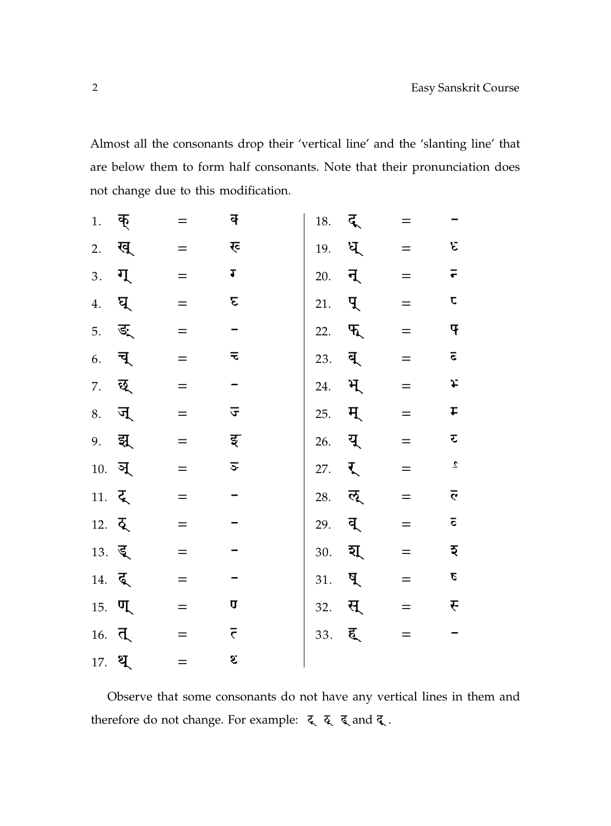Almost all the consonants drop their 'vertical line' and the 'slanting line' that are below them to form half consonants. Note that their pronunciation does not change due to this modification.

| 1.                    | क्                 |     | क्                      | 18. | द् | $=$ |                      |
|-----------------------|--------------------|-----|-------------------------|-----|----|-----|----------------------|
| 2.                    | ख्                 |     | र्                      | 19. | ध् | $=$ | ε                    |
| 3.                    | ग्                 | $=$ | J                       | 20. | न् | $=$ | $\overline{\bullet}$ |
| 4.                    | घ्                 |     | ε                       | 21. | प् | $=$ | $\mathbf C$          |
| 5.                    | ङ्                 | $=$ |                         | 22. | फ् | $=$ | 4                    |
| 6.                    | च्                 |     | ₹                       | 23. | ब् | $=$ | $\overline{\circ}$   |
| 7.                    | छ्                 | $=$ |                         | 24. | भ् | $=$ | £                    |
| 8.                    | ज्                 |     | $\overline{\mathbf{v}}$ | 25. | म् | $=$ | t                    |
| 9.                    | झ्                 |     | इ                       | 26. | यू | $=$ | र                    |
| 10.                   | ञ्                 |     | $\overline{\mathbf{c}}$ | 27. | र् | $=$ | $\mathbf{z}$         |
| 11. $\xi$             |                    | $=$ |                         | 28. | ऌ् | $=$ | $\bar{e}$            |
| 12. $\overline{Q}$    |                    |     |                         | 29. | व् | $=$ | $\overline{\bullet}$ |
| $13.$ ड्              |                    |     |                         | 30. | য্ | $=$ | इ                    |
| $14. \, \overline{6}$ |                    | $=$ |                         | 31. | ष् | $=$ | $\pmb{\varrho}$      |
|                       | $15.$ $\P$         | $=$ | U                       | 32. | स् | $=$ | F                    |
|                       | $16. \overline{d}$ |     | $\overline{\tau}$       | 33. | ह् | $=$ |                      |
|                       | 17. ध्             | $=$ | S.                      |     |    |     |                      |

Observe that some consonants do not have any vertical lines in them and therefore do not change. For example:  $\xi$   $\xi$   $\xi$  and  $\xi$ .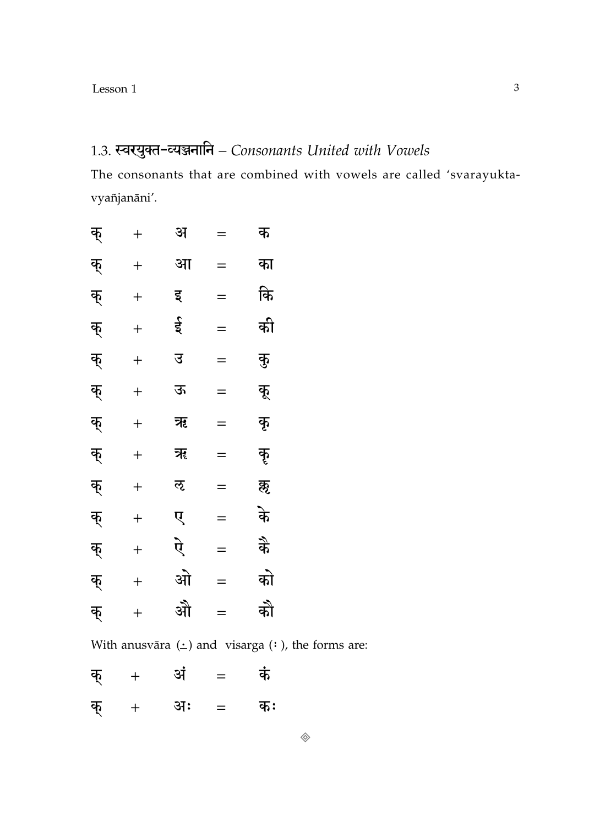## 1.3. स्वरयुक्त-व्यञ्जनानि - Consonants United with Vowels

The consonants that are combined with vowels are called 'svarayuktavyañjanāni'.

| क् | $\ddag$          | अ | $=$ | क   |
|----|------------------|---|-----|-----|
| क् | $\boldsymbol{+}$ | आ | $=$ | का  |
| क् | $\overline{+}$   | इ | $=$ | कि  |
| क् | $\overline{+}$   | ई | $=$ | की  |
| क् | $\ddot{}$        | उ | $=$ | कु  |
| क् | $\ddot{}$        | ऊ | $=$ | कू  |
| क् | $\ddot{}$        | ऋ | $=$ | कृ  |
| क् | $\ddot{}$        | ॠ | $=$ | कॄ  |
| क् | $\ddot{}$        | ऌ | $=$ | क़ॢ |
| क् | $\ddot{}$        | ए | $=$ | के  |
| क् | $\ddot{}$        | ऐ | $=$ | कै  |
| क् | $\ddot{}$        | ओ | $=$ | को  |
| क् | $\ddot{}$        | औ | $=$ | को  |

With anusvāra  $(\underline{\cdot})$  and visarga  $(\cdot)$ , the forms are:

| क् | $+$ | अं | $\equiv$ | कं |
|----|-----|----|----------|----|
| क् | $+$ | अः | $=$      | कः |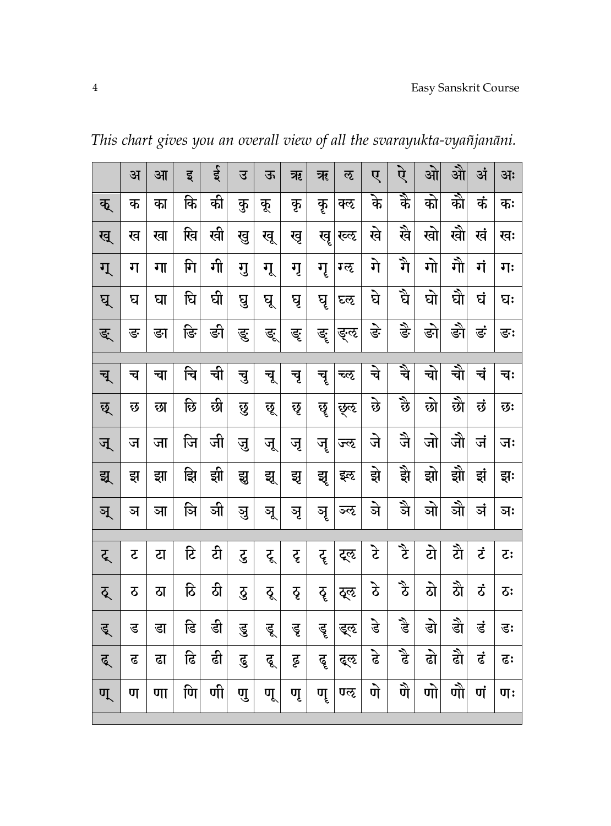|    | अ  | आ  | इ  | ई  | उ  | ऊ    | ऋ  | ॠ  | ऌ    | ए              | ऐ      | ओ           | औ    | अं  | अः       |
|----|----|----|----|----|----|------|----|----|------|----------------|--------|-------------|------|-----|----------|
| क् | क  | का | कि | की | कु | कू   | कृ | कृ | क्ऌ  | के             | र्के   | को          | को   | कं  | कः       |
| ख् | ख  | खा | खि | खी | खु | खू   | खृ | खॄ | रव्ह | खे             | खै     | खो          | खो   | खं  | खः       |
| ग् | ग  | गा | गि | गी | गु | गू   | गृ | गृ | ग्ऌ  | गे             | र्ने   | गो          | गौ   | गं  | गः       |
| घ् | घ  | घा | घि | घी | घु | घू   | घृ | घॄ | घ्ऌ  | घे             | र्चे   | घो          | ब्रे | घं  | घः       |
| ङ् | ङ  | ङा | ङि | ङी | ङु | ड्रु | ङ् | ङॄ | ङ्ऌ  | ङे             | दुः    | ङो          | ङो   | ड़ं | ङः       |
|    |    |    |    |    |    |      |    |    |      |                |        |             |      |     |          |
| च् | च  | चा | चि | ची | चु | चू   | चृ | चॄ | च्ऌ  | चे             | र्चे   | <u>जे</u> । | चे   | चं  | चः       |
| छ् | छ  | छा | छि | छी | छु | छू   | छृ | छॄ | छुऌ  | छे             | र्दु   | छो          | छो   | छं  | छः       |
| ज् | ज  | जा | जि | जी | जु | जू   | जृ | जॄ | ज्ऌ  | जे             | जै     | जो          | जौ   | जं  | जः       |
| झ् | झु | झा | झि | झी | झु | झू   | झु | झृ | इऌ   | झे             | झे     | झो          | झो   | झं  | झः       |
| ञ् | ञ  | ञा | ञि | ञी | ञु | ञू   | ञृ | ञृ | ञ्ऌ  | जे             | ञै     | ञो          | ञौ   | ञं  | ञः       |
|    |    |    |    |    |    |      |    |    |      |                |        |             |      |     |          |
| ट् | ट  | टा | डि | टी | टु | टू   | ट् | टॄ | ट्ऌ  | टे             | टे     | टो          | टी   | ざ   | <b>こ</b> |
| ठ् | ठ  | ठा | ठि | ठी | ढु | ठू   | ठृ | ठॄ | ठ्ऌ  | $\mathfrak{F}$ | م<br>ح | ठो          | ঠী   | ざ   | 5:       |
| डू | ड  | डा | डि | डी | डु | डू   | डू | डॄ | ड्ऌ  | डे             | ड़े    | डो          | डी   | डं  | डः       |
| द् | ढ  | ढा | ढि | ढी | ढु | ढू   | ढू | ढॄ | द्ऌ  | ढे             | दै     | ढो          | ढी   | ढं  | ढः       |
| ण् | ण  | णा | णि | णी | णु | णू   | णृ | णॄ | णऌ   | णे             | णै     | णो          | णौ   | णं  | णः       |

This chart gives you an overall view of all the svarayukta-vyañjanāni.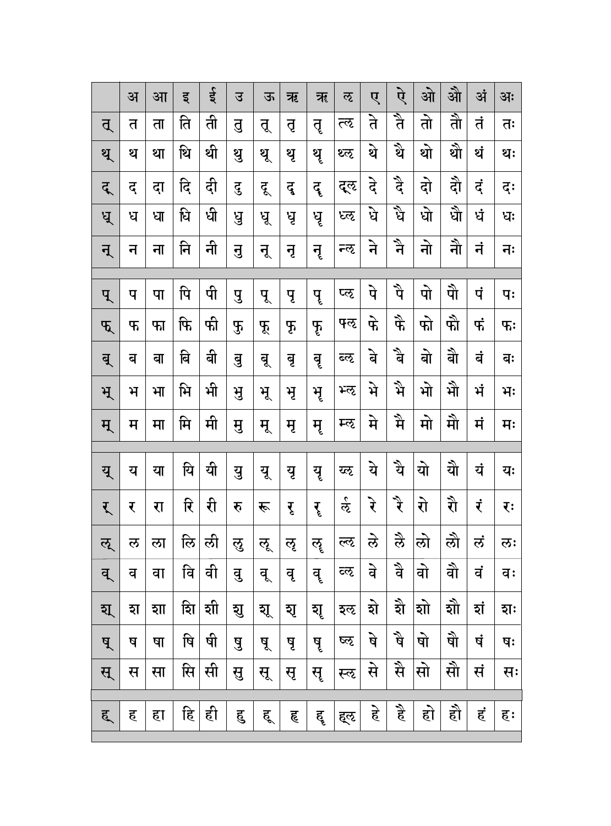|    |    |    |              |    |    |    |     |     |      |                            |                            |                            | औ             |     |                |
|----|----|----|--------------|----|----|----|-----|-----|------|----------------------------|----------------------------|----------------------------|---------------|-----|----------------|
|    | अ  | आ  | इ            | ई  | उ  | ऊ  | ऋ   | ॠ   | ऌ    | ए                          | ऐ                          | ओ                          |               | अं  | अः             |
| त् | त  | ता | ति           | ती | तु | तू | तृ  | तृ  | त्ऌ  | ते                         | त्रै                       | तो                         | <u>ते</u>     | तं  | तः             |
| थ् | थ  | था | थि           | थी | थु | थू | थृ  | थृ  | थ्ऌ  | थे                         | थे $\overline{\mathbf{r}}$ | थो                         | थो            | थं  | थः             |
| द् | द् | दा | दि           | दी | दु | दू | दू  | दॄ  | द्ऌ  | दे                         | दै                         | दो                         | दौ            | दं  | दः             |
| ध् | ध  | धा | धि           | धी | पु | धू | धृ  | घॄ  | ध्ऌ  | घे                         | र्धे                       | धो                         | धे            | र्ध | धः             |
| न् | न  | ना | नि           | नी | नु | नू | नृ  | नॄ  | न्ऌ  | ने                         | ने $\overline{a}$          | नो                         | ने            | नं  | नः             |
| प् | प  | पा | पि           | पी | पु | पू | पृ  | पॄ  | प्ऌ  | पे                         | पै                         | पो                         | पौ            | पं  | पः             |
| फ् | फ  | फा | फि           | फी | F  | Ř  | F   | फू  | फ्ऌ  | फे                         | फै                         | फो                         | फो            | फं  | $\mathbf{F}$ : |
| ब् | ब  | बा | बि           | बी | बु | बू | बृ  | बॄ  | ब्ऌ  | बे                         | र्वे                       | बो                         | बी            | बं  | बः             |
| भ् | ਮੋ | भा | भि           | भी | भु | भू | ਮ੍ਰ | ਸ੍ਰ | भ्ऌ  | भे                         | भै                         | भो                         | मे            | भं  | भः             |
| म् | म  | मा | मि           | मी | मु | मू | मृ  | मृ  | म्ऌ  | मे                         | मै                         | मो                         | मौ            | मं  | मः             |
|    |    |    |              |    |    |    |     |     |      |                            |                            |                            |               |     |                |
| यू | य  | या | यि           | यी | यु | यू | यृ  | यॄ  | य्ऌ  | ये                         | यै                         | यो                         | यो            | यं  | यः             |
| र् | र  | रा | रि           | री | रु | रू | रृ  | रृ  | र्द  | रे                         | र्ी                        | रो                         | री            | रं  | रः             |
| ऌ् | ल  | ला | लि           | ली | ऌु | लू | ऌृ  | ॡ   | ल्लृ | ले                         | रे                         | लो                         | लौ            | लं  | ऌः             |
| व् | व  | वा | वि           | वी | वु | वू | वृ  | वॄ  | व्ऌ  | वे                         | वै                         | वो                         | वो            | वं  | वः             |
| য্ | হা | शा | $\sim$<br>शि | शी | যু | যূ | যৃ  | যূ  | इऌ   | $\blacktriangledown$<br>হা | ষী                         | $\blacktriangledown$<br>शो | $\sim$<br>शौं | शं  | হাः            |
| ष् | ष  | षा | षि           | षी | षु | षू | षृ  | षृ  | ष्ठ  | षे                         | षै                         | षो                         | षे            | षं  | षः             |
| स् | स  | सा | सि           | सी | सु | सू | सृ  | सॄ  | स्ऌ  | से                         | सै                         | सो                         | सौ            | सं  | सः             |
|    |    |    |              |    |    |    |     |     |      |                            |                            |                            |               |     |                |
| ह् | ह  | हा | हि           | ही | हु | हू | हृ  | हॄ  | ह्ऌ  | हे                         | है                         | हो                         | हो            | हं  | हः             |
|    |    |    |              |    |    |    |     |     |      |                            |                            |                            |               |     |                |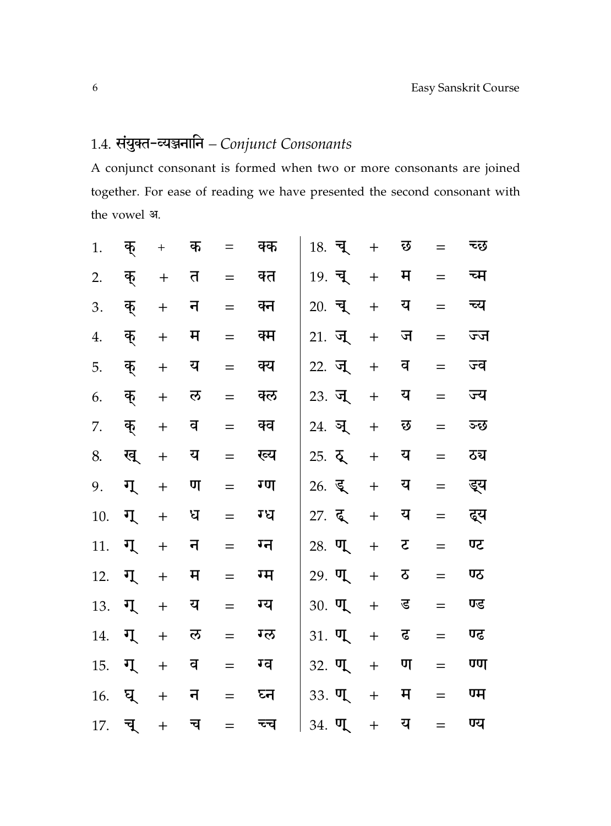# 1.4. संयुक्त-व्यञ्जनानि - Conjunct Consonants

A conjunct consonant is formed when two or more consonants are joined together. For ease of reading we have presented the second consonant with the vowel अ.

| $1.$ | क् | $^{+}$                           | क | $=$ | क्क | $18.$ च्     | $+$       | छ |     | च्छ |
|------|----|----------------------------------|---|-----|-----|--------------|-----------|---|-----|-----|
| 2.   | क् | $+$                              | त | $=$ | क्त | 19. चू       | $+$       | म | $=$ | च्म |
| 3.   | क् | $\ddot{}$                        | न | $=$ | क्न | $20.$ चू     | $\ddot{}$ | य | $=$ | च्य |
| 4.   | क् | $+$                              | म | $=$ | क्म | 21. जू       | $\ddot{}$ | ज | $=$ | ज्ज |
| 5.   | क् | $\ddot{}$                        | य | $=$ | क्य | 22. जू       | $\ddot{}$ | व | $=$ | ज्व |
| 6.   | क् | $\ddot{}$                        | ल | $=$ | क्ल | 23. जू       | $\ddot{}$ | य | $=$ | ज्य |
| 7.   | क् | $\ddot{}$                        | व | $=$ | क्व | 24. ञ्       | $+$       | छ | $=$ | ञ्छ |
| 8.   | ख् | $\ddot{}$                        | य | $=$ | ख्य | $25. \, \xi$ | $+$       | य | $=$ | ठच  |
| 9.   | ग् | $\begin{array}{c} + \end{array}$ | ण | $=$ | ग्ण | $26.$ डू     | $+$       | य | $=$ | ड्य |
| 10.  | ग् | $+$                              | ध | $=$ | ग्ध | 27. दू       | $+$       | य | $=$ | द्य |
| 11.  | ग् | $\ddot{}$                        | न | $=$ | ग्न | $28.$ $\Pi$  | $+$       | र | $=$ | ण्ट |
| 12.  | ग् | $+$                              | म | $=$ | ग्म | $29.$ $\P$   | $+$       | ठ | $=$ | ण्ठ |
| 13.  | ग् | $+$                              | य | $=$ | ग्य | $30.$ $\P$   | $+$       | ड | $=$ | ण्ड |
| 14.  | ग् | $\ddot{}$                        | ल | $=$ | ग्ल | $31.$ $\P$   | $+$       | ढ | $=$ | ण्ढ |
| 15.  | ग् | $\ddot{}$                        | व | $=$ | ग्व | $32.$ $\P$   | $+$       | ण | $=$ | ण्ण |
| 16.  | घ् | $+$                              | न | $=$ | घ्न | $33.$ $\P$   | $+$       | म | $=$ | ण्म |
| 17.  | च् | $\ddot{}$                        | च |     | च्च | $34.$ $\P$   | $+$       | य | $=$ | ण्य |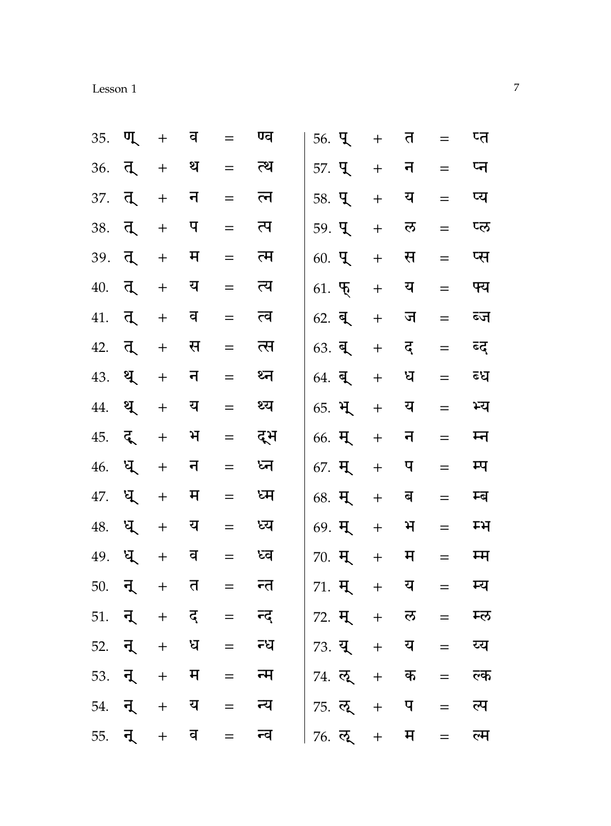| esson |
|-------|
|-------|

| 35.    | ण्  | $+$                              | व  | $=$ | ण्व                         | $56.$ T                                    | $+$ | त | $=$ | प्त |
|--------|-----|----------------------------------|----|-----|-----------------------------|--------------------------------------------|-----|---|-----|-----|
| 36.    | त्  | $\boldsymbol{+}$                 | थ  | $=$ | त्थ                         | 57. <b>L</b>                               | $+$ | न | $=$ | प्न |
| 37.    | त   | $+$                              | न  | $=$ | त्न                         | 58. <b>q</b>                               | $+$ | य | $=$ | प्य |
| 38.    | त्  | $+$                              | प  | $=$ | त्प                         | $59.$ T                                    | $+$ | ल | $=$ | प्ल |
| 39. त् |     | $+$                              | म  | $=$ | त्म                         | $60.$ T                                    | $+$ | स | $=$ | प्स |
| 40.    | त्  | $+$                              | य  | $=$ | त्य                         | $61.$ $\overline{6}$                       | $+$ | य | $=$ | फ्य |
| 41.    | त्  | $+$                              | व  | $=$ | त्व                         | $62. \ \overline{9}$                       | $+$ | ज | $=$ | ब्ज |
| 42.    | त्  | $+$                              | स  | $=$ | त्स                         | $63.$ ब्                                   | $+$ | द | $=$ | डद  |
| 43.    | ्थ् | $\begin{array}{c} + \end{array}$ | न  | $=$ | ध्न                         | $64.$ ब्                                   | $+$ | ध | $=$ | ब्ध |
| 44.    | ्थ् | $+$                              | य  | $=$ | थ्य                         | 65. भू                                     | $+$ | य | $=$ | भ्य |
| 45.    | ्दू | $+$                              | भ  | $=$ | द्भ                         | $66.$ म्                                   | $+$ | न | $=$ | म्न |
| 46.    | ध   | $\ddot{}$                        | न  | $=$ | ध्न                         | 67. मृ                                     | $+$ | प | $=$ | म्प |
| 47.    | ध्  | $+$                              | म  | $=$ | ध्म                         | $68.$ H                                    | $+$ | ब | $=$ | म्ब |
| 48.    | ध्  | $+$                              | य  | $=$ | ध्य                         | $69.$ म्                                   | $+$ | भ | $=$ | ਸ਼  |
| 49.    | ध्  | $+$                              | व  | $=$ | ध्व                         | $70.$ म्                                   | $+$ | म | $=$ | म्म |
| 50.    | ान् | $+$                              | त  | $=$ | न्त                         | $71.$ म्                                   | $+$ | य | $=$ | म्य |
| 51.    | ्न् | $+$                              | द् | $=$ | न्द्                        | 72. H                                      | $+$ | ल | $=$ | म्ल |
| 52. न् |     | $+$                              | ध  | $=$ | न्ध                         | 73. यू                                     | $+$ | य | $=$ | य्य |
|        |     |                                  |    |     |                             | 53. <b>न्</b> + म = न्म   74. ल् + क = ल्क |     |   |     |     |
|        |     |                                  |    |     | $54.$ न् + य = न्य          | 75. लू + प = ल्प                           |     |   |     |     |
|        |     |                                  |    |     | $55. \t{7} + \t{7} = \t{7}$ | 76. लू + म = ल्म                           |     |   |     |     |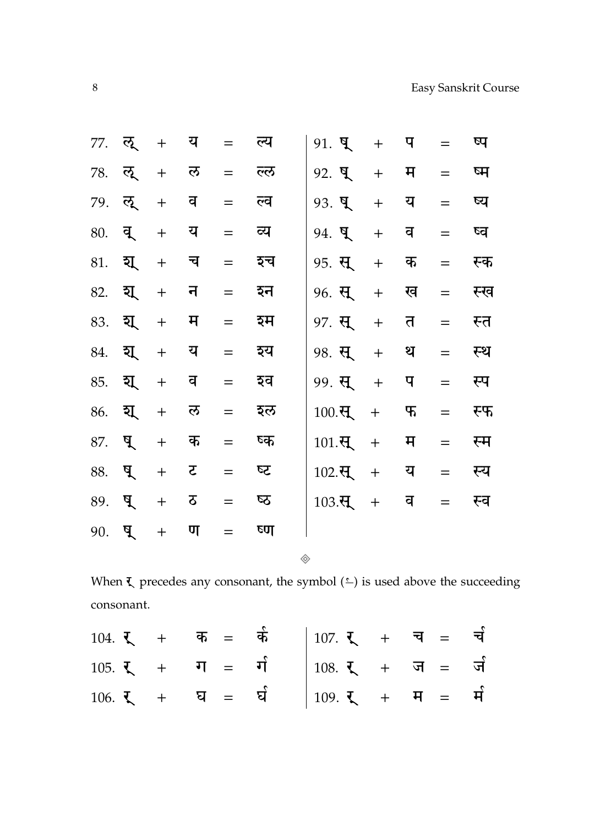|                                         |     | 77. ऌ. + य          |         | = ल्य | $91. \, 9$ + $9$                   |                      | $=$ | ष्प |
|-----------------------------------------|-----|---------------------|---------|-------|------------------------------------|----------------------|-----|-----|
|                                         |     | 78. ऌ्रू + ल        |         | = ल्ल | 92. घ्                             | $+$ $\overline{H}$ = |     | ष्म |
|                                         |     | 79. ऌ्रू + व        | $=$     | ल्व   | $93.9 + 9$                         |                      | $=$ | ष्य |
|                                         |     | $80.$ व् + य        | $=$     | व्य   | $94.$ ष् $+$ व                     |                      | $=$ | ष्व |
|                                         |     | $81.$ श्यू + च      | $=$     | इच    | $95. \ \mathbf{H} + \mathbf{\Phi}$ |                      | $=$ | स्क |
|                                         |     | 82. श्रू + न        | $=$     | इन    | $96.$ स् + ख                       |                      | $=$ | स्ख |
|                                         |     | 83. श्रू + म        | $=$ $-$ | इम    | 97. <b>स्</b> + त                  |                      | $=$ | स्त |
|                                         |     | 84. <b>श्</b> र + य | $=$     | इय    | 98. स् + थ                         |                      | $=$ | स्थ |
|                                         |     | 85. श्रू + व        | $=$     | इव    | $99. \t{H} + 9$                    |                      | $=$ | स्प |
|                                         |     | 86. श्यू + ल        |         | = इल  | $100.\overline{H} + \overline{F}$  |                      | $=$ | स्फ |
| $87. \quad \frac{\text{d}}{\text{d}}$ + |     | क                   | $=$     | ष्क   | $101.\overline{t}$ + म             |                      | $=$ | स्म |
| 88. घ्                                  |     | $5 + 5$             | $=$     | ऽउ    | $102.\overline{H} + \overline{u}$  |                      | $=$ | स्य |
| $89. \t{9. +}$                          |     | ठ                   | $=$     | ष्ठ   | $103.\overline{t}$ +               | व                    | $=$ | स्व |
| $90.$ प्                                | $+$ | ण                   | $=$     | ष्ण   |                                    |                      |     |     |
|                                         |     |                     |         |       |                                    |                      |     |     |

When  $\xi$  precedes any consonant, the symbol  $($ consonant.

◈

|  |  | $104.$ $\Sigma$ + $\overline{a}$ = $\overline{a}$   107. $\Sigma$ + $\overline{a}$ = $\overline{a}$ |  |  |
|--|--|-----------------------------------------------------------------------------------------------------|--|--|
|  |  | $105.$ $\zeta$ + $\eta$ = $\eta$   $108.$ $\zeta$ + $\eta$ = $\eta$                                 |  |  |
|  |  | $106.$ $\zeta$ + $\overline{u}$ = $\overline{u}$   $109.$ $\zeta$ + $\overline{H}$ = $\overline{H}$ |  |  |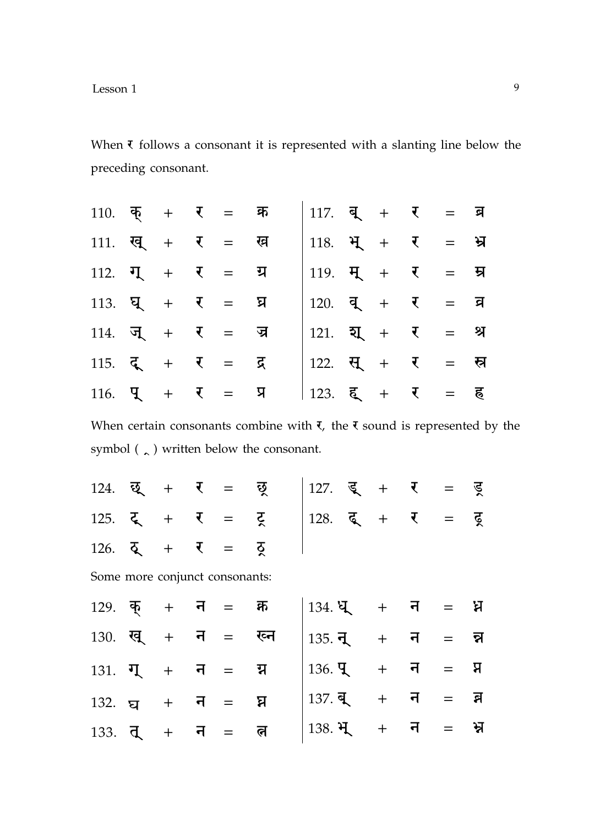When  $\bar{\tau}$  follows a consonant it is represented with a slanting line below the preceding consonant.

| 110. क् + र = क्र                                       |  |  | $117.$ व् + र = ब्र                                     |  |  |  |
|---------------------------------------------------------|--|--|---------------------------------------------------------|--|--|--|
| 111. <i>ख</i> <sub>+</sub> र = ख                        |  |  | 118. $H + T = H$                                        |  |  |  |
| $112.$ $\overline{1}$ + $\overline{1}$ = $\overline{2}$ |  |  | 119. $H + I = H$                                        |  |  |  |
| $113.$ घू + र = घ्र                                     |  |  | $120.$ $\overline{q}$ + $\overline{t}$ = $\overline{q}$ |  |  |  |
| 114. जू + र = ज्र                                       |  |  | $121.$ श्य + र = श्र                                    |  |  |  |
| $115.$ $\zeta + \zeta = \zeta$                          |  |  | 122. सू + र = स्र                                       |  |  |  |
| 116. $\frac{1}{4} + \frac{1}{8} = \frac{1}{4}$          |  |  | 123. हू + र = ह                                         |  |  |  |

When certain consonants combine with  $\tau$ , the  $\tau$  sound is represented by the symbol ( $\zeta$ ) written below the consonant.

| $124.$ छू + र = छ्                                      |  |  | 127. डू + र = ड्र                                       |  |  |  |
|---------------------------------------------------------|--|--|---------------------------------------------------------|--|--|--|
| $125.$ $\zeta$ + $\zeta$ = $\zeta$                      |  |  | $128.$ $\overline{6}$ + $\overline{6}$ = $\overline{6}$ |  |  |  |
| $126.$ $\overline{Q}$ + $\overline{V}$ = $\overline{Q}$ |  |  |                                                         |  |  |  |
| Some more conjunct consonants:                          |  |  |                                                         |  |  |  |
| $129.$ क् + न = क्र                                     |  |  | $134.$ $\sqrt{2}$ + $\sqrt{7}$ = $\sqrt{2}$             |  |  |  |
| $130.$ खू + न = ख्न                                     |  |  | $135.7 + 7 = 7$                                         |  |  |  |
| $131. \ \ \nabla + \ \ \nabla = \ \ \nabla$             |  |  | $136. \mathbf{q} + \mathbf{q} = \mathbf{q}$             |  |  |  |
| $132.$ $\sigma$ + $\sigma$ = $\sigma$                   |  |  | $137. q + q = q$                                        |  |  |  |
| $133. \t{d} + \t{d} = \t{d}$                            |  |  | $138.$ भू+ न = भ्र                                      |  |  |  |
|                                                         |  |  |                                                         |  |  |  |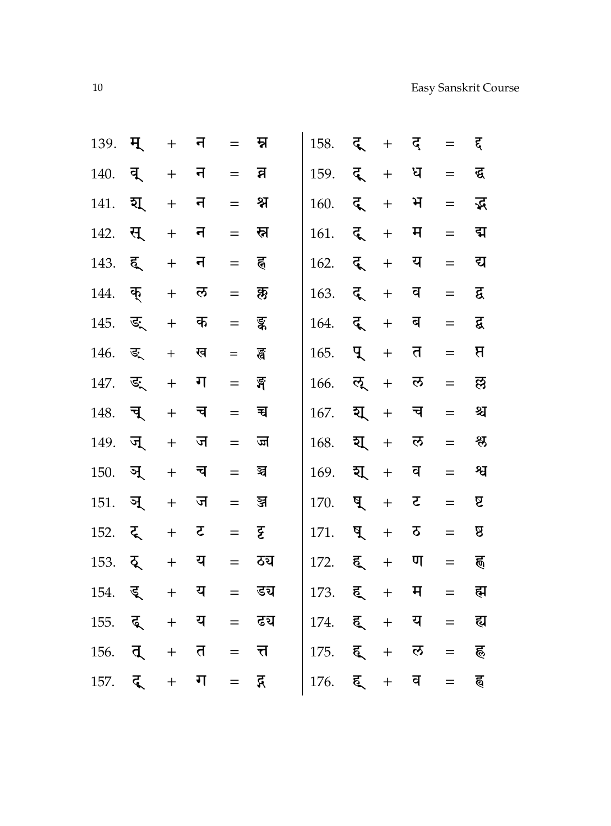| 139. | म् | $+$                              | न |     | म्न  | 158. | दू | $\ddot{}$         | द् | $=$ | द्द            |
|------|----|----------------------------------|---|-----|------|------|----|-------------------|----|-----|----------------|
| 140. | व् | $\ddot{}$                        | न | $=$ | व्र  | 159. | दू | $+$               | ध  | $=$ | द्ध            |
| 141. | য্ | $\qquad \qquad +$                | न | $=$ | श्न  | 160. | द् | $\ddot{}$         | भ  | $=$ | द्भ            |
| 142. | स् | $\! +$                           | न | $=$ | स्न  | 161. | द् | $\ddot{}$         | म  | $=$ | द्म            |
| 143. | ह् | $\! +$                           | न | $=$ | ह्   | 162. | द् | $\ddot{}$         | य  | $=$ | द्य            |
| 144. | क् | $\! +$                           | ल | $=$ | क्रु | 163. | द् | $\ddot{}$         | व  | $=$ | द्व            |
| 145. | ङ् | $\ddot{}$                        | क | $=$ | ङ्क  | 164. | दू | $\ddot{}$         | ब  | $=$ | द्व            |
| 146. | ङ् | $^{+}$                           | ख | $=$ | ह्व  | 165. | पू | $\ddot{}$         | त  | $=$ | $\overline{B}$ |
| 147. | ङ् | $\begin{array}{c} + \end{array}$ | ग | $=$ | ৰ্ষ  | 166. | ऌ् | $+$               | ल  | $=$ | छ              |
| 148. | च् | $+$                              | च | $=$ | च    | 167. | য্ | $\ddot{}$         | च  | $=$ | श्च            |
| 149. | जू | $\qquad \qquad +$                | ज | $=$ | ज    | 168. | য্ | $\ddot{}$         | ल  | $=$ | श्लु           |
| 150. | ञ् | $\qquad \qquad +$                | च | $=$ | ন্ব  | 169. | য্ | $+$               | व  | $=$ | श्व            |
| 151. | ञ् | $+$                              | ज | $=$ | ञ्ज  | 170. | ष् | $+$               | ट  | $=$ | ß              |
| 152. | ट् | $\qquad \qquad +$                | ट | $=$ | ट्ट  | 171. | ष् | $\ddot{}$         | ठ  | $=$ | ß              |
| 153. | ठ् | $+$                              | य | $=$ | ठच   | 172. | ह् | $+$               | ण  | $=$ | ह्ण            |
| 154. | डू | $+$                              | य | $=$ | डच   | 173. | ह् | $+$               | म  | $=$ | ह्म            |
| 155. | दू | $\ddot{}$                        | य | $=$ | ढच   | 174. | ह् | $\ddot{}$         | य  | $=$ | ह्य            |
| 156. | त् | $+$                              | त | $=$ | त्त  | 175. | ह् | $\ddot{}$         | ल  | $=$ | ह              |
| 157. | द् | $\boldsymbol{+}$                 | ग | $=$ | द्ग  | 176. | ह् | $\qquad \qquad +$ | व  | $=$ | ह्व            |
|      |    |                                  |   |     |      |      |    |                   |    |     |                |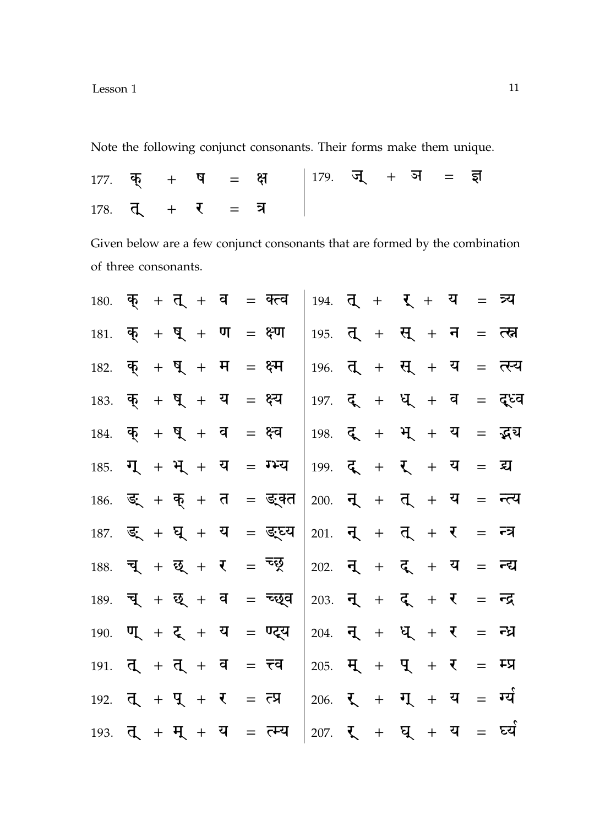Lesson 1

Note the following conjunct consonants. Their forms make them unique.

|                     |  |  | $177.$ क् + ष = क्ष   179. ज् + ञ = इा |  |  |  |
|---------------------|--|--|----------------------------------------|--|--|--|
| $178.$ त् + र = त्र |  |  |                                        |  |  |  |

Given below are a few conjunct consonants that are formed by the combination of three consonants.

| $180.$ क् + त् + व = क्त्व                                                                |  |  |  |                             | 194. $\overline{q}$ + $\overline{r}$ + $\overline{q}$ = $\overline{r}$                                                               |  |  |  |                                                                          |
|-------------------------------------------------------------------------------------------|--|--|--|-----------------------------|--------------------------------------------------------------------------------------------------------------------------------------|--|--|--|--------------------------------------------------------------------------|
| $181.$ क् + घ् + ण = क्ष्ण                                                                |  |  |  |                             | 195. त् + स् + न = त्स्न                                                                                                             |  |  |  |                                                                          |
| 182. $\overline{\phi} + \overline{q} + \overline{q} = \xi \overline{q}$                   |  |  |  |                             |                                                                                                                                      |  |  |  | $196.$ तू + सू + य = त्स्य                                               |
| $183.$ क् + ध् + य = क्ष्य                                                                |  |  |  |                             |                                                                                                                                      |  |  |  | 197. $\vec{\xi}$ + $\vec{\xi}$ + $\vec{\xi}$ + $\vec{\xi}$ = $\vec{\xi}$ |
| $184.$ क् + घ् + व = क्ष्व                                                                |  |  |  |                             | $198.$ दू + भू + य = द्भय                                                                                                            |  |  |  |                                                                          |
| $185.$ $\overline{1}$ + $\overline{1}$ + $\overline{1}$ + $\overline{4}$ = $\overline{1}$ |  |  |  |                             | $199.$ $\zeta + \zeta + \zeta = \zeta$                                                                                               |  |  |  |                                                                          |
|                                                                                           |  |  |  | $186.$ ड्. + क् + त = ड्क्त | 200. $\overline{q}$ + $\overline{q}$ + $\overline{q}$ = $\overline{r}$                                                               |  |  |  |                                                                          |
|                                                                                           |  |  |  | $187.$ ड्. + घ् + य = ड्य्य | 201. $\overline{q}$ + $\overline{q}$ + $\overline{r}$ = $\overline{r}$                                                               |  |  |  |                                                                          |
| 188. च् + छ् + र = न्छ्                                                                   |  |  |  |                             | 202. $\vec{q}$ + $\vec{q}$ + $\vec{q}$ = $\vec{r}$                                                                                   |  |  |  |                                                                          |
|                                                                                           |  |  |  | $189.$ च् + छ् + व = च्छ्व  | 203. $\overline{q}$ + $\overline{q}$ + $\overline{r}$ = $\overline{r}$                                                               |  |  |  |                                                                          |
| $190.$ ण + ट् + य = ण्ट्य                                                                 |  |  |  |                             | 204. $\overline{q}$ + $q$ + $\overline{q}$ = $\overline{r}$                                                                          |  |  |  |                                                                          |
| 191. $\overline{d}$ + $\overline{d}$ + $\overline{d}$ = $\overline{d}$                    |  |  |  |                             | 205. $H + H + \bar{L} = H$                                                                                                           |  |  |  |                                                                          |
| 192. $\overline{d}$ + $\overline{q}$ + $\overline{t}$ = $\overline{c}$                    |  |  |  |                             | 206. $\overline{\mathbf{L}}$ + $\overline{\mathbf{L}}$ + $\overline{\mathbf{L}}$ + $\overline{\mathbf{L}}$ = $\overline{\mathbf{L}}$ |  |  |  |                                                                          |
| 193. $\overline{d}$ + $\overline{H}$ + $\overline{u}$ = $\overline{c}$ $\overline{u}$     |  |  |  |                             | 207. $\zeta$ + $\zeta$ + $\zeta$ = $\zeta$                                                                                           |  |  |  |                                                                          |